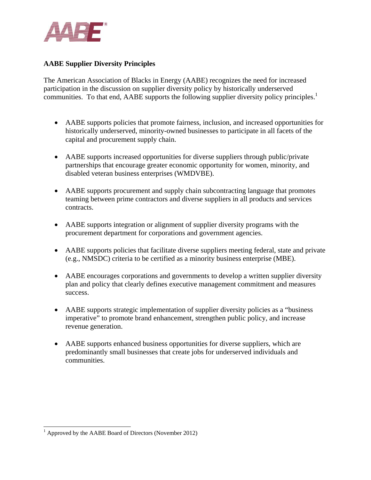

## **AABE Supplier Diversity Principles**

The American Association of Blacks in Energy (AABE) recognizes the need for increased participation in the discussion on supplier diversity policy by historically underserved communities. To that end, AABE supports the following supplier diversity policy principles.<sup>1</sup>

- AABE supports policies that promote fairness, inclusion, and increased opportunities for historically underserved, minority-owned businesses to participate in all facets of the capital and procurement supply chain.
- AABE supports increased opportunities for diverse suppliers through public/private partnerships that encourage greater economic opportunity for women, minority, and disabled veteran business enterprises (WMDVBE).
- AABE supports procurement and supply chain subcontracting language that promotes teaming between prime contractors and diverse suppliers in all products and services contracts.
- AABE supports integration or alignment of supplier diversity programs with the procurement department for corporations and government agencies.
- AABE supports policies that facilitate diverse suppliers meeting federal, state and private (e.g., NMSDC) criteria to be certified as a minority business enterprise (MBE).
- AABE encourages corporations and governments to develop a written supplier diversity plan and policy that clearly defines executive management commitment and measures success.
- AABE supports strategic implementation of supplier diversity policies as a "business imperative" to promote brand enhancement, strengthen public policy, and increase revenue generation.
- AABE supports enhanced business opportunities for diverse suppliers, which are predominantly small businesses that create jobs for underserved individuals and communities.

 $\overline{a}$ <sup>1</sup> Approved by the AABE Board of Directors (November 2012)